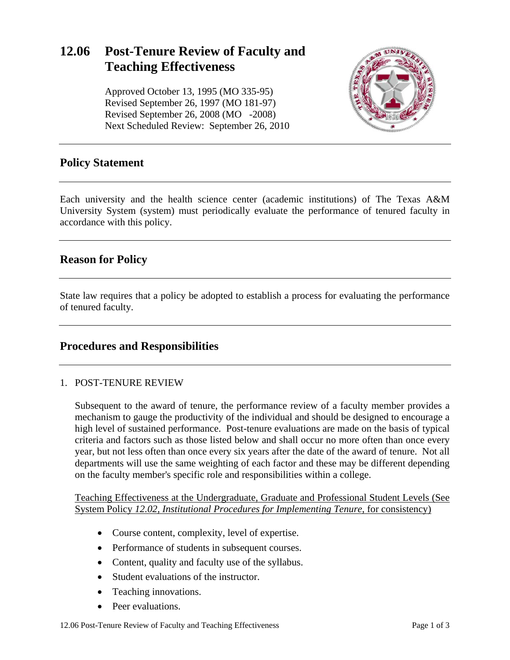# **12.06 Post-Tenure Review of Faculty and Teaching Effectiveness**

Approved October 13, 1995 (MO 335-95) Revised September 26, 1997 (MO 181-97) Revised September 26, 2008 (MO -2008) Next Scheduled Review: September 26, 2010



## **Policy Statement**

Each university and the health science center (academic institutions) of The Texas A&M University System (system) must periodically evaluate the performance of tenured faculty in accordance with this policy.

## **Reason for Policy**

State law requires that a policy be adopted to establish a process for evaluating the performance of tenured faculty.

#### **Procedures and Responsibilities**

#### 1. POST-TENURE REVIEW

Subsequent to the award of tenure, the performance review of a faculty member provides a mechanism to gauge the productivity of the individual and should be designed to encourage a high level of sustained performance. Post-tenure evaluations are made on the basis of typical criteria and factors such as those listed below and shall occur no more often than once every year, but not less often than once every six years after the date of the award of tenure. Not all departments will use the same weighting of each factor and these may be different depending on the faculty member's specific role and responsibilities within a college.

Teaching Effectiveness at the Undergraduate, Graduate and Professional Student Levels (See System Policy *12.02, Institutional Procedures for Implementing Tenure*, for consistency)

- Course content, complexity, level of expertise.
- Performance of students in subsequent courses.
- Content, quality and faculty use of the syllabus.
- Student evaluations of the instructor.
- Teaching innovations.
- Peer evaluations.

12.06 Post-Tenure Review of Faculty and Teaching Effectiveness Page 1 of 3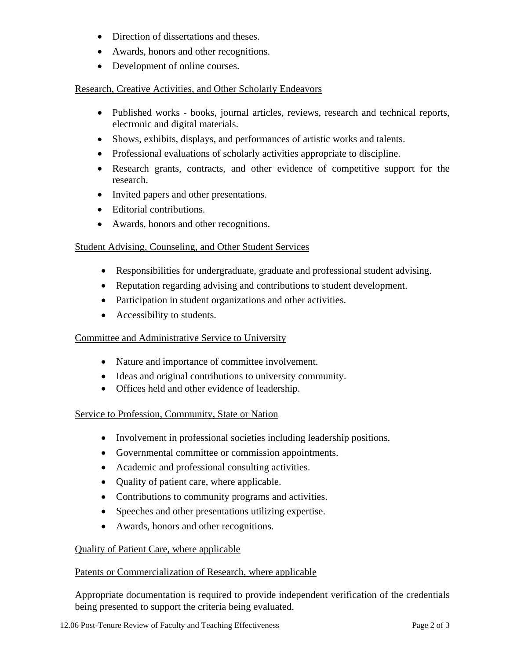- Direction of dissertations and theses.
- Awards, honors and other recognitions.
- Development of online courses.

#### Research, Creative Activities, and Other Scholarly Endeavors

- Published works books, journal articles, reviews, research and technical reports, electronic and digital materials.
- Shows, exhibits, displays, and performances of artistic works and talents.
- Professional evaluations of scholarly activities appropriate to discipline.
- Research grants, contracts, and other evidence of competitive support for the research.
- Invited papers and other presentations.
- Editorial contributions.
- Awards, honors and other recognitions.

## Student Advising, Counseling, and Other Student Services

- Responsibilities for undergraduate, graduate and professional student advising.
- Reputation regarding advising and contributions to student development.
- Participation in student organizations and other activities.
- Accessibility to students.

#### Committee and Administrative Service to University

- Nature and importance of committee involvement.
- Ideas and original contributions to university community.
- Offices held and other evidence of leadership.

#### Service to Profession, Community, State or Nation

- Involvement in professional societies including leadership positions.
- Governmental committee or commission appointments.
- Academic and professional consulting activities.
- Ouality of patient care, where applicable.
- Contributions to community programs and activities.
- Speeches and other presentations utilizing expertise.
- Awards, honors and other recognitions.

## Quality of Patient Care, where applicable

#### Patents or Commercialization of Research, where applicable

Appropriate documentation is required to provide independent verification of the credentials being presented to support the criteria being evaluated.